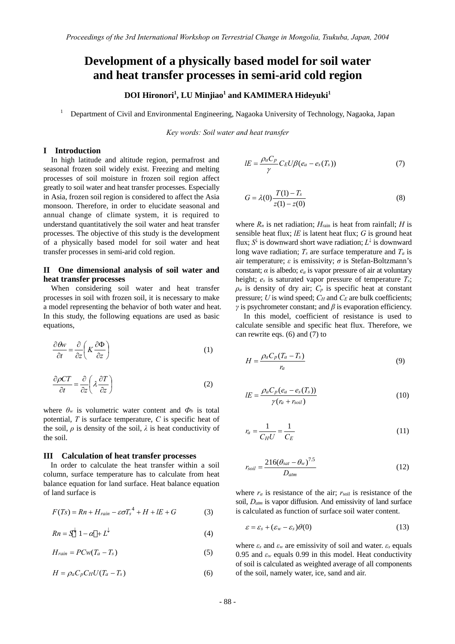# **Development of a physically based model for soil water and heat transfer processes in semi-arid cold region**

# **DOI Hironori<sup>1</sup> , LU Minjiao<sup>1</sup> and KAMIMERA Hideyuki<sup>1</sup>**

1 Department of Civil and Environmental Engineering, Nagaoka University of Technology, Nagaoka, Japan

*Key words: Soil water and heat transfer* 

#### **I Introduction**

In high latitude and altitude region, permafrost and seasonal frozen soil widely exist. Freezing and melting processes of soil moisture in frozen soil region affect greatly to soil water and heat transfer processes. Especially in Asia, frozen soil region is considered to affect the Asia monsoon. Therefore, in order to elucidate seasonal and annual change of climate system, it is required to understand quantitatively the soil water and heat transfer processes. The objective of this study is the development of a physically based model for soil water and heat transfer processes in semi-arid cold region.

## **II One dimensional analysis of soil water and heat transfer processes**

 When considering soil water and heat transfer processes in soil with frozen soil, it is necessary to make a model representing the behavior of both water and heat. In this study, the following equations are used as basic equations,

$$
\frac{\partial \theta w}{\partial t} = \frac{\partial}{\partial z} \left( K \frac{\partial \Phi}{\partial z} \right)
$$
 (1)

$$
\frac{\partial \rho CT}{\partial t} = \frac{\partial}{\partial z} \left( \lambda \frac{\partial T}{\partial z} \right) \tag{2}
$$

where  $\theta_w$  is volumetric water content and  $\Phi_b$  is total potential, *T* is surface temperature, *C* is specific heat of the soil,  $\rho$  is density of the soil,  $\lambda$  is heat conductivity of the soil.

## **III Calculation of heat transfer processes**

In order to calculate the heat transfer within a soil column, surface temperature has to calculate from heat balance equation for land surface. Heat balance equation of land surface is

$$
F(Ts) = Rn + H_{rain} - \varepsilon \sigma T_s^4 + H + lE + G \tag{3}
$$

$$
Rn = S^{\downarrow} 1 - \alpha + L^{\downarrow}
$$
 (4)

$$
H_{rain} = PCw(T_a - T_s)
$$
\n<sup>(5)</sup>

$$
H = \rho_a C_p C_H U (T_a - T_s) \tag{6}
$$

$$
lE = \frac{\rho_a C_p}{\gamma} C_E U \beta (e_a - e_s(T_s)) \tag{7}
$$

$$
G = \lambda(0) \frac{T(1) - T_s}{z(1) - z(0)}
$$
\n(8)

where  $R_n$  is net radiation;  $H_{\text{rain}}$  is heat from rainfall;  $H$  is sensible heat flux; *lE* is latent heat flux; *G* is ground heat flux; *S<sup>↓</sup>* is downward short wave radiation; *L<sup>↓</sup>* is downward long wave radiation;  $T_s$  are surface temperature and  $T_a$  is air temperature; *ε* is emissivity; *σ* is Stefan-Boltzmann's constant;  $\alpha$  is albedo;  $e_a$  is vapor pressure of air at voluntary height; *es* is saturated vapor pressure of temperature *Ts*;  $\rho_a$  is density of dry air;  $C_p$  is specific heat at constant pressure; *U* is wind speed; *C<sub>H</sub>* and *C<sub>E</sub>* are bulk coefficients; *γ* is psychrometer constant; and  $\beta$  is evaporation efficiency.

In this model, coefficient of resistance is used to calculate sensible and specific heat flux. Therefore, we can rewrite eqs. (6) and (7) to

$$
H = \frac{\rho_a C_p (T_a - T_s)}{r_a} \tag{9}
$$

$$
lE = \frac{\rho_a C_p (e_a - e_s(T_s))}{\gamma (r_a + r_{\text{sol}})}
$$
\n(10)

$$
r_a = \frac{1}{C_H U} = \frac{1}{C_E} \tag{11}
$$

$$
r_{soil} = \frac{216(\theta_{sat} - \theta_w)^{7.5}}{D_{atm}}
$$
(12)

where  $r_a$  is resistance of the air;  $r_{\text{sol}}$  is resistance of the soil, *Datm* is vapor diffusion. And emissivity of land surface is calculated as function of surface soil water content.

$$
\varepsilon = \varepsilon_s + (\varepsilon_w - \varepsilon_s) \theta(0) \tag{13}
$$

where  $\varepsilon_s$  and  $\varepsilon_w$  are emissivity of soil and water.  $\varepsilon_s$  equals 0.95 and  $\varepsilon_w$  equals 0.99 in this model. Heat conductivity of soil is calculated as weighted average of all components of the soil, namely water, ice, sand and air.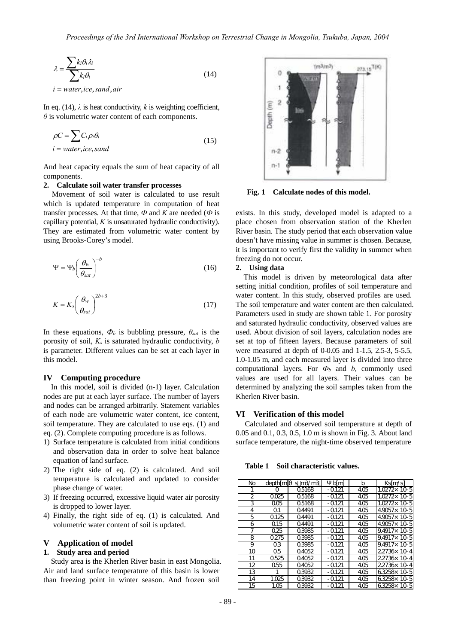$$
\lambda = \frac{\sum k_i \theta_i \lambda_i}{\sum k_i \theta_i} \tag{14}
$$

 $i = water, ice, sand, air$ 

In eq. (14),  $\lambda$  is heat conductivity,  $k$  is weighting coefficient, *θ* is volumetric water content of each components.

$$
\rho C = \sum c_i \rho_i \theta_i
$$
  
\n*i* = water, *ice*, *sand* (15)

And heat capacity equals the sum of heat capacity of all components.

#### **2. Calculate soil water transfer processes**

Movement of soil water is calculated to use result which is updated temperature in computation of heat transfer processes. At that time,  $\Phi$  and  $K$  are needed ( $\Phi$  is capillary potential, *K* is unsaturated hydraulic conductivity). They are estimated from volumetric water content by using Brooks-Corey's model.

$$
\Psi = \Psi_b \left( \frac{\theta_w}{\theta_{sat}} \right)^{-b} \tag{16}
$$

$$
K = K_s \left(\frac{\theta_w}{\theta_{sat}}\right)^{2b+3} \tag{17}
$$

In these equations,  $\Phi_b$  is bubbling pressure,  $\theta_{sat}$  is the porosity of soil, *Ks* is saturated hydraulic conductivity, *b* is parameter. Different values can be set at each layer in this model.

#### **IV Computing procedure**

In this model, soil is divided (n-1) layer. Calculation nodes are put at each layer surface. The number of layers and nodes can be arranged arbitrarily. Statement variables of each node are volumetric water content, ice content, soil temperature. They are calculated to use eqs. (1) and eq. (2). Complete computing procedure is as follows.

- 1) Surface temperature is calculated from initial conditions and observation data in order to solve heat balance equation of land surface.
- 2) The right side of eq. (2) is calculated. And soil temperature is calculated and updated to consider phase change of water.
- 3) If freezing occurred, excessive liquid water air porosity is dropped to lower layer.
- 4) Finally, the right side of eq. (1) is calculated. And volumetric water content of soil is updated.

#### **V Application of model**

#### **1. Study area and period**

Study area is the Kherlen River basin in east Mongolia. Air and land surface temperature of this basin is lower than freezing point in winter season. And frozen soil



**Fig. 1 Calculate nodes of this model.** 

exists. In this study, developed model is adapted to a place chosen from observation station of the Kherlen River basin. The study period that each observation value doesn't have missing value in summer is chosen. Because, it is important to verify first the validity in summer when freezing do not occur.

## **2. Using data**

This model is driven by meteorological data after setting initial condition, profiles of soil temperature and water content. In this study, observed profiles are used. The soil temperature and water content are then calculated. Parameters used in study are shown table 1. For porosity and saturated hydraulic conductivity, observed values are used. About division of soil layers, calculation nodes are set at top of fifteen layers. Because parameters of soil were measured at depth of 0-0.05 and 1-1.5, 2.5-3, 5-5.5, 1.0-1.05 m, and each measured layer is divided into three computational layers. For  $\Phi_b$  and *b*, commonly used values are used for all layers. Their values can be determined by analyzing the soil samples taken from the Kherlen River basin.

#### **VI Verification of this model**

Calculated and observed soil temperature at depth of 0.05 and 0.1, 0.3, 0.5, 1.0 m is shown in Fig. 3. About land surface temperature, the night-time observed temperature

**Table 1 Soil characteristic values.** 

| No | depth[m] | s m3/m3 | b[m]    | b    | Ks[m/s]              |
|----|----------|---------|---------|------|----------------------|
|    | O        | 05168   | -0121   | 405  | 1.0272 × 10-5        |
| 2  | 0025     | 05168   | $-0121$ | 4.05 | 1.0272 × 10-5        |
| 3  | 005      | 05168   | $-0121$ | 4.05 | $1.0272 \times 10.5$ |
| 4  | Ω1       | 04491   | $-0121$ | 405  | 49057×10-5           |
| 5  | 0125     | 04491   | $-0121$ | 4.05 | 49057×10-5           |
| 6  | Q15      | 04491   | -0121   | 405  | 49057×10-5           |
| 7  | 025      | 03985   | $-0121$ | 4.05 | 9.4917×10-5          |
| 8  | 0275     | 03985   | $-0121$ | 405  | 9.4917×10-5          |
| 9  | Q3       | 03985   | -0121   | 4.05 | 9.4917x 10-5         |
| 10 | Ω5       | 04052   | $-0121$ | 4.05 | 22736×10-4           |
| 11 | 0525     | 04052   | $-0121$ | 405  | 22736×10-4           |
| 12 | 055      | 04052   | $-0121$ | 4.05 | 22736×10-4           |
| 13 |          | 03932   | -0121   | 405  | 63258×10-5           |
| 14 | 1.025    | 03932   | $-0121$ | 405  | 63258×<br>10-5       |
| 15 | 1.05     | 03932   | $-0121$ | 4.05 | 63258×10-5           |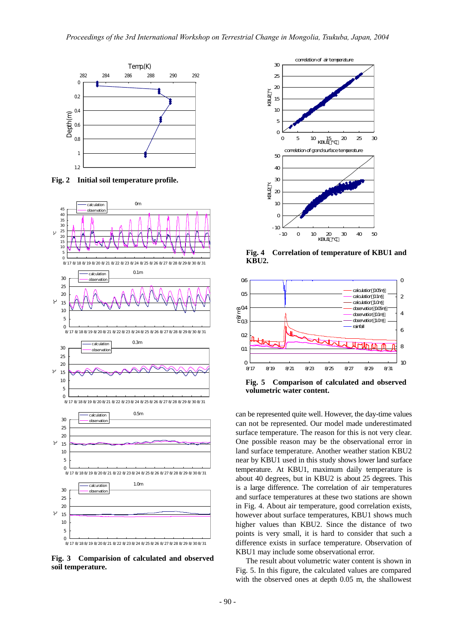

**Fig. 2 Initial soil temperature profile.** 



**Fig. 3 Comparision of calculated and observed soil temperature.** 



**Fig. 4 Correlation of temperature of KBU1 and KBU2.** 



**Fig. 5 Comparison of calculated and observed volumetric water content.** 

can be represented quite well. However, the day-time values can not be represented. Our model made underestimated surface temperature. The reason for this is not very clear. One possible reason may be the observational error in land surface temperature. Another weather station KBU2 near by KBU1 used in this study shows lower land surface temperature. At KBU1, maximum daily temperature is about 40 degrees, but in KBU2 is about 25 degrees. This is a large difference. The correlation of air temperatures and surface temperatures at these two stations are shown in Fig. 4. About air temperature, good correlation exists, however about surface temperatures, KBU1 shows much higher values than KBU2. Since the distance of two points is very small, it is hard to consider that such a difference exists in surface temperature. Observation of KBU1 may include some observational error.

The result about volumetric water content is shown in Fig. 5. In this figure, the calculated values are compared with the observed ones at depth 0.05 m, the shallowest